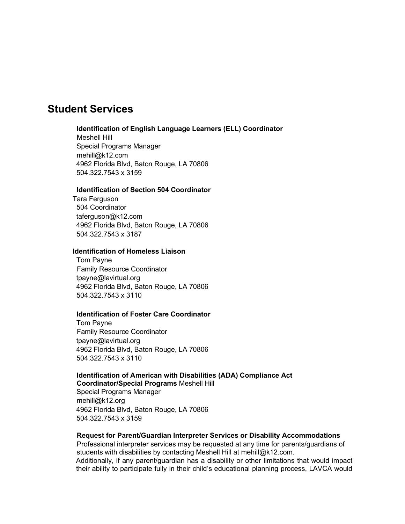# **Student Services**

# **Identification of English Language Learners (ELL) Coordinator**

Meshell Hill Special Programs Manager mehill@k12.com 4962 Florida Blvd, Baton Rouge, LA 70806 504.322.7543 x 3159

## **Identification of Section 504 Coordinator**

Tara Ferguson 504 Coordinator taferguson@k12.com 4962 Florida Blvd, Baton Rouge, LA 70806 504.322.7543 x 3187

## **Identification of Homeless Liaison**

Tom Payne Family Resource Coordinator tpayne@lavirtual.org 4962 Florida Blvd, Baton Rouge, LA 70806 504.322.7543 x 3110

## **Identification of Foster Care Coordinator**

Tom Payne Family Resource Coordinator tpayne@lavirtual.org 4962 Florida Blvd, Baton Rouge, LA 70806 504.322.7543 x 3110

# **Identification of American with Disabilities (ADA) Compliance Act Coordinator/Special Programs** Meshell Hill

Special Programs Manager mehill@k12.org 4962 Florida Blvd, Baton Rouge, LA 70806 504.322.7543 x 3159

#### **Request for Parent/Guardian Interpreter Services or Disability Accommodations**

Professional interpreter services may be requested at any time for parents/guardians of students with disabilities by contacting Meshell Hill at mehill@k12.com. Additionally, if any parent/guardian has a disability or other limitations that would impact their ability to participate fully in their child's educational planning process, LAVCA would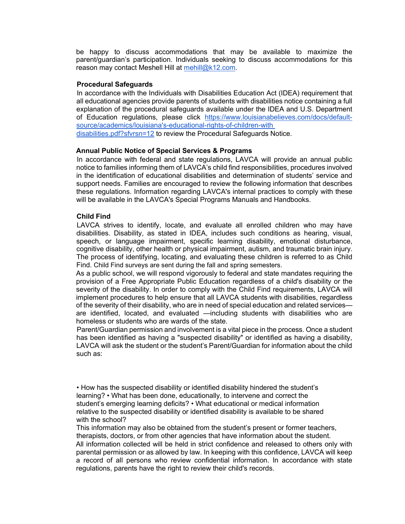be happy to discuss accommodations that may be available to maximize the parent/guardian's participation. Individuals seeking to discuss accommodations for this reason may contact Meshell Hill at mehill@k12.com.

# **Procedural Safeguards**

In accordance with the Individuals with Disabilities Education Act (IDEA) requirement that all educational agencies provide parents of students with disabilities notice containing a full explanation of the procedural safeguards available under the IDEA and U.S. Department of Education regulations, please click https://www.louisianabelieves.com/docs/defaultsource/academics/louisiana's-educational-rights-of-children-with disabilities.pdf?sfvrsn=12 to review the Procedural Safeguards Notice.

## **Annual Public Notice of Special Services & Programs**

In accordance with federal and state regulations, LAVCA will provide an annual public notice to families informing them of LAVCA's child find responsibilities, procedures involved in the identification of educational disabilities and determination of students' service and support needs. Families are encouraged to review the following information that describes these regulations. Information regarding LAVCA's internal practices to comply with these will be available in the LAVCA's Special Programs Manuals and Handbooks.

# **Child Find**

LAVCA strives to identify, locate, and evaluate all enrolled children who may have disabilities. Disability, as stated in IDEA, includes such conditions as hearing, visual, speech, or language impairment, specific learning disability, emotional disturbance, cognitive disability, other health or physical impairment, autism, and traumatic brain injury. The process of identifying, locating, and evaluating these children is referred to as Child Find. Child Find surveys are sent during the fall and spring semesters.

As a public school, we will respond vigorously to federal and state mandates requiring the provision of a Free Appropriate Public Education regardless of a child's disability or the severity of the disability. In order to comply with the Child Find requirements, LAVCA will implement procedures to help ensure that all LAVCA students with disabilities, regardless of the severity of their disability, who are in need of special education and related services are identified, located, and evaluated —including students with disabilities who are homeless or students who are wards of the state.

Parent/Guardian permission and involvement is a vital piece in the process. Once a student has been identified as having a "suspected disability" or identified as having a disability, LAVCA will ask the student or the student's Parent/Guardian for information about the child such as:

• How has the suspected disability or identified disability hindered the student's learning? • What has been done, educationally, to intervene and correct the student's emerging learning deficits? • What educational or medical information relative to the suspected disability or identified disability is available to be shared with the school?

This information may also be obtained from the student's present or former teachers, therapists, doctors, or from other agencies that have information about the student. All information collected will be held in strict confidence and released to others only with parental permission or as allowed by law. In keeping with this confidence, LAVCA will keep a record of all persons who review confidential information. In accordance with state regulations, parents have the right to review their child's records.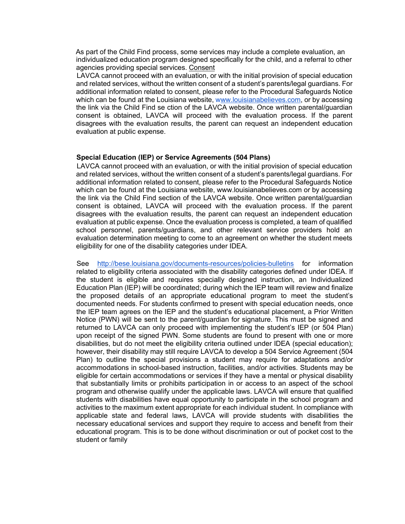As part of the Child Find process, some services may include a complete evaluation, an individualized education program designed specifically for the child, and a referral to other agencies providing special services. Consent

LAVCA cannot proceed with an evaluation, or with the initial provision of special education and related services, without the written consent of a student's parents/legal guardians. For additional information related to consent, please refer to the Procedural Safeguards Notice which can be found at the Louisiana website, www.louisianabelieves.com, or by accessing the link via the Child Find se ction of the LAVCA website. Once written parental/guardian consent is obtained, LAVCA will proceed with the evaluation process. If the parent disagrees with the evaluation results, the parent can request an independent education evaluation at public expense.

### **Special Education (IEP) or Service Agreements (504 Plans)**

LAVCA cannot proceed with an evaluation, or with the initial provision of special education and related services, without the written consent of a student's parents/legal guardians. For additional information related to consent, please refer to the Procedural Safeguards Notice which can be found at the Louisiana website, www.louisianabelieves.com or by accessing the link via the Child Find section of the LAVCA website. Once written parental/guardian consent is obtained, LAVCA will proceed with the evaluation process. If the parent disagrees with the evaluation results, the parent can request an independent education evaluation at public expense. Once the evaluation process is completed, a team of qualified school personnel, parents/guardians, and other relevant service providers hold an evaluation determination meeting to come to an agreement on whether the student meets eligibility for one of the disability categories under IDEA.

See http://bese.louisiana.gov/documents-resources/policies-bulletins for information related to eligibility criteria associated with the disability categories defined under IDEA. If the student is eligible and requires specially designed instruction, an Individualized Education Plan (IEP) will be coordinated; during which the IEP team will review and finalize the proposed details of an appropriate educational program to meet the student's documented needs. For students confirmed to present with special education needs, once the IEP team agrees on the IEP and the student's educational placement, a Prior Written Notice (PWN) will be sent to the parent/guardian for signature. This must be signed and returned to LAVCA can only proceed with implementing the student's IEP (or 504 Plan) upon receipt of the signed PWN. Some students are found to present with one or more disabilities, but do not meet the eligibility criteria outlined under IDEA (special education); however, their disability may still require LAVCA to develop a 504 Service Agreement (504 Plan) to outline the special provisions a student may require for adaptations and/or accommodations in school-based instruction, facilities, and/or activities. Students may be eligible for certain accommodations or services if they have a mental or physical disability that substantially limits or prohibits participation in or access to an aspect of the school program and otherwise qualify under the applicable laws. LAVCA will ensure that qualified students with disabilities have equal opportunity to participate in the school program and activities to the maximum extent appropriate for each individual student. In compliance with applicable state and federal laws, LAVCA will provide students with disabilities the necessary educational services and support they require to access and benefit from their educational program. This is to be done without discrimination or out of pocket cost to the student or family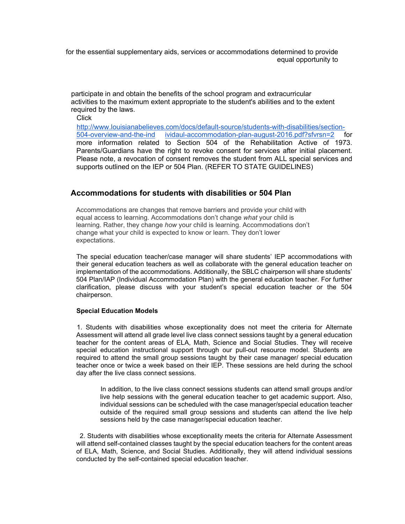for the essential supplementary aids, services or accommodations determined to provide equal opportunity to

participate in and obtain the benefits of the school program and extracurricular activities to the maximum extent appropriate to the student's abilities and to the extent required by the laws.

**Click** 

http://www.louisianabelieves.com/docs/default-source/students-with-disabilities/section-504-overview-and-the-ind ividaul-accommodation-plan-august-2016.pdf?sfvrsn=2 for more information related to Section 504 of the Rehabilitation Active of 1973. Parents/Guardians have the right to revoke consent for services after initial placement. Please note, a revocation of consent removes the student from ALL special services and supports outlined on the IEP or 504 Plan. (REFER TO STATE GUIDELINES)

# **Accommodations for students with disabilities or 504 Plan**

Accommodations are changes that remove barriers and provide your child with equal access to learning. Accommodations don't change *what* your child is learning. Rather, they change *how* your child is learning. Accommodations don't change what your child is expected to know or learn. They don't lower expectations.

The special education teacher/case manager will share students' IEP accommodations with their general education teachers as well as collaborate with the general education teacher on implementation of the accommodations. Additionally, the SBLC chairperson will share students' 504 Plan/IAP (Individual Accommodation Plan) with the general education teacher. For further clarification, please discuss with your student's special education teacher or the 504 chairperson.

### **Special Education Models**

1. Students with disabilities whose exceptionality does not meet the criteria for Alternate Assessment will attend all grade level live class connect sessions taught by a general education teacher for the content areas of ELA, Math, Science and Social Studies. They will receive special education instructional support through our pull-out resource model. Students are required to attend the small group sessions taught by their case manager/ special education teacher once or twice a week based on their IEP. These sessions are held during the school day after the live class connect sessions.

In addition, to the live class connect sessions students can attend small groups and/or live help sessions with the general education teacher to get academic support. Also, individual sessions can be scheduled with the case manager/special education teacher outside of the required small group sessions and students can attend the live help sessions held by the case manager/special education teacher.

2. Students with disabilities whose exceptionality meets the criteria for Alternate Assessment will attend self-contained classes taught by the special education teachers for the content areas of ELA, Math, Science, and Social Studies. Additionally, they will attend individual sessions conducted by the self-contained special education teacher.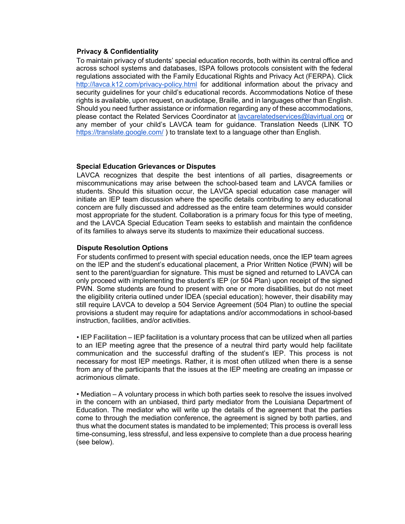#### **Privacy & Confidentiality**

To maintain privacy of students' special education records, both within its central office and across school systems and databases, ISPA follows protocols consistent with the federal regulations associated with the Family Educational Rights and Privacy Act (FERPA). Click http://lavca.k12.com/privacy-policy.html for additional information about the privacy and security guidelines for your child's educational records. Accommodations Notice of these rights is available, upon request, on audiotape, Braille, and in languages other than English. Should you need further assistance or information regarding any of these accommodations, please contact the Related Services Coordinator at lavcarelatedservices@lavirtual.org or any member of your child's LAVCA team for guidance. Translation Needs (LINK TO https://translate.google.com/) to translate text to a language other than English.

## **Special Education Grievances or Disputes**

LAVCA recognizes that despite the best intentions of all parties, disagreements or miscommunications may arise between the school-based team and LAVCA families or students. Should this situation occur, the LAVCA special education case manager will initiate an IEP team discussion where the specific details contributing to any educational concern are fully discussed and addressed as the entire team determines would consider most appropriate for the student. Collaboration is a primary focus for this type of meeting, and the LAVCA Special Education Team seeks to establish and maintain the confidence of its families to always serve its students to maximize their educational success.

### **Dispute Resolution Options**

For students confirmed to present with special education needs, once the IEP team agrees on the IEP and the student's educational placement, a Prior Written Notice (PWN) will be sent to the parent/guardian for signature. This must be signed and returned to LAVCA can only proceed with implementing the student's IEP (or 504 Plan) upon receipt of the signed PWN. Some students are found to present with one or more disabilities, but do not meet the eligibility criteria outlined under IDEA (special education); however, their disability may still require LAVCA to develop a 504 Service Agreement (504 Plan) to outline the special provisions a student may require for adaptations and/or accommodations in school-based instruction, facilities, and/or activities.

• IEP Facilitation – IEP facilitation is a voluntary process that can be utilized when all parties to an IEP meeting agree that the presence of a neutral third party would help facilitate communication and the successful drafting of the student's IEP. This process is not necessary for most IEP meetings. Rather, it is most often utilized when there is a sense from any of the participants that the issues at the IEP meeting are creating an impasse or acrimonious climate.

• Mediation – A voluntary process in which both parties seek to resolve the issues involved in the concern with an unbiased, third party mediator from the Louisiana Department of Education. The mediator who will write up the details of the agreement that the parties come to through the mediation conference, the agreement is signed by both parties, and thus what the document states is mandated to be implemented; This process is overall less time-consuming, less stressful, and less expensive to complete than a due process hearing (see below).